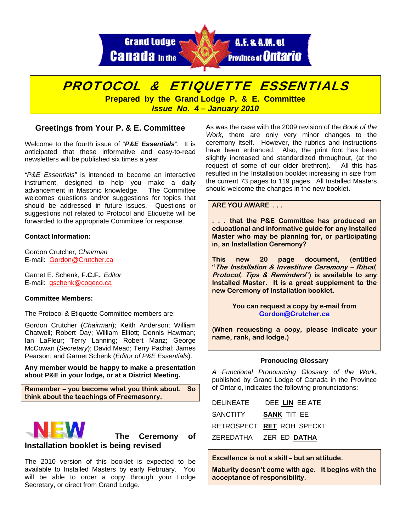**Grand Lodge Canada** In the



# PROTOCOL & ETIQUETTE ESSENTIALS

**Prepared by the Grand Lodge P. & E. Committee**  *Issue No. 4 – January 2010* 

# **Greetings from Your P. & E. Committee**

Welcome to the fourth issue of "*P&E Essentials*". It is anticipated that these informative and easy-to-read newsletters will be published six times a year.

*"P&E Essentials"* is intended to become an interactive instrument, designed to help you make a daily advancement in Masonic knowledge. The Committee welcomes questions and/or suggestions for topics that should be addressed in future issues. Questions or suggestions not related to Protocol and Etiquette will be forwarded to the appropriate Committee for response.

# **Contact Information:**

Gordon Crutcher, *Chairman* E-mail: Gordon@Crutcher.ca

Garnet E. Schenk, **F.C.F.**, *Editor*  E-mail: gschenk@cogeco.ca

## **Committee Members:**

The Protocol & Etiquette Committee members are:

Gordon Crutcher (*Chairman*); Keith Anderson; William Chatwell; Robert Day; William Elliott; Dennis Hawman; Ian LaFleur; Terry Lanning; Robert Manz; George McCowan (*Secretary*); David Mead; Terry Pachal; James Pearson; and Garnet Schenk (*Editor of P&E Essentials*).

**Any member would be happy to make a presentation about P&E in your lodge, or at a District Meeting.** 

**Remember – you become what you think about. So think about the teachings of Freemasonry.** 



 **The Ceremony of Installation booklet is being revised** 

The 2010 version of this booklet is expected to be available to Installed Masters by early February. You will be able to order a copy through your Lodge Secretary, or direct from Grand Lodge.

As was the case with the 2009 revision of the *Book of the Work*, there are only very minor changes to **t**he ceremony itself. However, the rubrics and instructions have been enhanced. Also, the print font has been slightly increased and standardized throughout, (at the request of some of our older brethren). All this has resulted in the Installation booklet increasing in size from the current 73 pages to 119 pages. All Installed Masters should welcome the changes in the new booklet.

## **ARE YOU AWARE . . .**

**. . . that the P&E Committee has produced an educational and informative guide for any Installed Master who may be planning for, or participating in, an Installation Ceremony?** 

**This new 20 page document, (entitled "The Installation & Investiture Ceremony – Ritual, Protocol, Tips & Reminders") is available to any Installed Master. It is a great supplement to the new Ceremony of Installation booklet.** 

> **You can request a copy by e-mail from [Gordon@Crutcher.ca](mailto:Gordon@Crutcher.ca)**

**(When requesting a copy, please indicate your name, rank, and lodge.)** 

#### **Pronoucing Glossary**

*A Functional Pronouncing Glossary of the Work***,** published by Grand Lodge of Canada in the Province of Ontario, indicates the following pronunciations:

| <b>DELINEATE</b> | DEE LIN EE ATE                  |
|------------------|---------------------------------|
| SANCTITY         | <b>SANK TIT EE</b>              |
|                  | RETROSPECT RET ROH SPECKT       |
|                  | ZEREDATHA - ZER ED <b>DATHA</b> |

**Excellence is not a skill – but an attitude.** 

**Maturity doesn't come with age. It begins with the acceptance of responsibility.**